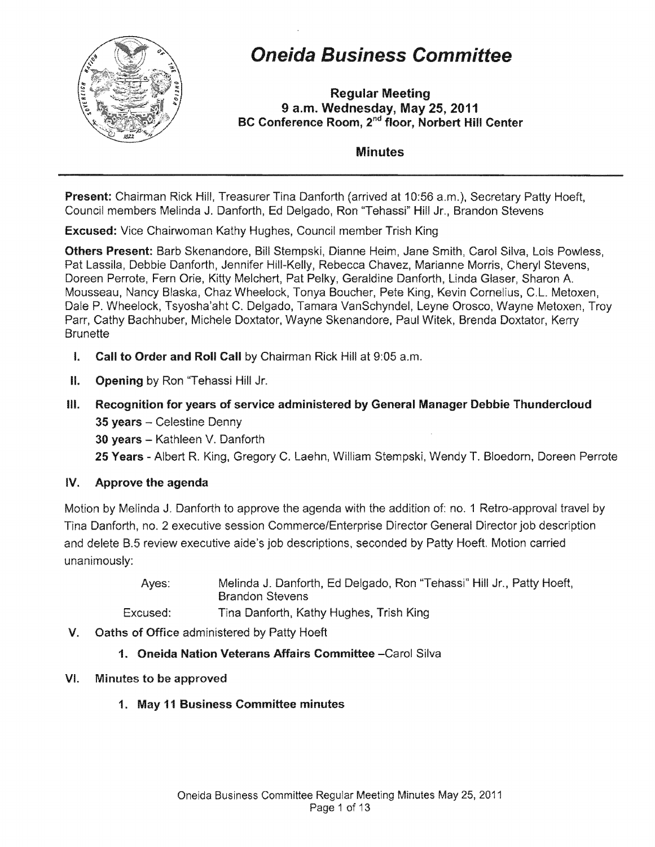

# Oneida Business Committee

Regular Meeting 9 a.m. Wednesday, May 25, 2011 BC Conference Room, 2<sup>nd</sup> floor, Norbert Hill Center

### Minutes

**Present:** Chairman Rick Hill, Treasurer Tina Danforth (arrived at 10:56 a.m.), Secretary Patty Council members Melinda J. Danforth, Ed Delgado, Ron "Tehassi" Hill Jr., Brandon Stevens

**Excused:** Vice Chairwoman Kathy Hughes, Council member Trish King

Others Present: Barb Skenandore, Bill Stempski, Dianne Heim, Jane Smith, Carol Silva, Lois Powless, Pat Lassila, Debbie Danforth, Jennifer Hill-Kelly, Rebecca Chavez, Marianne Morris, Cheryl Stevens, Doreen Perrote, Fern Orie, Kitty Melchert, Pat Pelky, Geraldine Danforth, Linda Glaser, Sharon A. Mousseau, Nancy Blaska, Chaz Wheelock, Tonya Boucher, Pete King, Kevin Cornelius, C.L. Metoxen, Dale P. Wheelock, Tsyosha'aht C. Delgado, Tamara VanSchyndel, Leyne Orosco, Wayne Metoxen, Troy Parr, Cathy Bachhuber, Michele Doxtator, Wayne Skenandore, Paul Witek, Brenda Doxtator, Kerry **Brunette** 

- **I.** Call to Order and Roll Call by Chairman Rick Hill at 9:05 a.m.
- II. Opening by Ron "Tehassi Hill Jr.
- III. Recognition for vears of service administered by General Manager Debbie Thundercloud 35 years - Celestine Denny 30 vears - Kathleen V. Danforth
	- 25 Years Albert R. King, Gregory C. Laehn, William Stempski, Wendy T. Bloedorn, Doreen Perrote

#### IV. Approve the agenda

Motion by Melinda J. Danforth to approve the agenda with the addition of: no. 1 Retro-approval travel by Tina Danforth, no. 2 executive session Commerce/Enterprise Director General Director job description and delete B.5 review executive aide's job descriptions, seconded by Patty Hoeft. Motion carried unanimously:

> Ayes: Melinda J. Danforth, Ed Delgado, Ron "Tehassi" Hill Jr., Patty Hoeft, Brandon Stevens

Excused: Tina Danforth, Kathy Hughes, Trish King

V. Oaths of Office administered by Patty Hoeft

#### 1. Oneida Nation Veterans Affairs Committee -Carol Silva

- VI. Minutes to be approved
	- 1. May 11 Business Committee minutes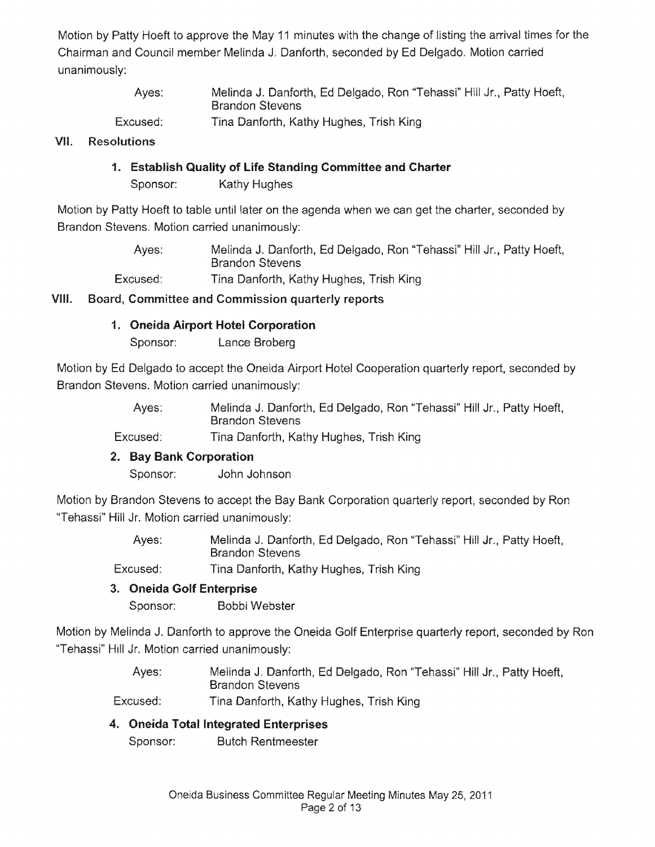Motion by Patty Hoeft to approve the May 11 minutes with the change of listing the arrival times for the Chairman and Council member Melinda J. Danforth, seconded by Ed Delgado. Motion carried unanimously:

> Ayes: Melinda J. Danforth, Ed Delgado, Ron "Tehassi" Hill Jr., Patty Hoeft, **Brandon Stevens** Excused: Tina Danforth, Kathy Hughes, Trish King

#### VII. **Resolutions**

### 1. Establish Quality of life Standing Committee and Charter

Sponsor: Kathy Hughes

Motion by Patty Hoeft to table until later on the agenda when we can get the charter, seconded by Brandon Stevens. Motion carried unanimously:

> Ayes: Melinda J. Danforth, Ed Delgado, Ron "Tehassi" Hill Jr., Patty Hoeft, **Brandon Stevens** Excused: Tina Danforth, Kathy Hughes, Trish King

VIII. Board, Committee and Commission quarterly reports

### 1. Oneida Airport Hotel Corporation

Sponsor: Lance Broberg

Motion by Ed Delgado to accept the Oneida Airport Hotel Cooperation quarterly report, seconded by Brandon Stevens. Motion carried unanimously:

> Ayes: Melinda J. Danforth, Ed Delgado, Ron "Tehassi" Hill Jr., Patty Hoeft, Brandon Stevens

Excused: Tina Danforth, Kathy Hughes, Trish King

#### 2. Bay Bank Corporation

Sponsor: John Johnson

Motion by Brandon Stevens to accept the Bay Bank Corporation quarterly report, seconded by Ron "Tehassi" Hill Jr. Motion carried unanimously:

> Ayes: Melinda J. Danforth, Ed Delgado, Ron "Tehassi" Hill Jr., Patty Hoeft, **Brandon Stevens**

Excused: Tina Danforth, Kathy Hughes, Trish King

#### Oneida Golf Enterprise

Sponsor: Bobbi Webster

Motion by Melinda J. Danforth to approve the Oneida Golf Enterprise quarterly report, seconded by "Tehassi" Hill Jr. Motion carried unanimously:

- Ayes: Melinda J. Danforth, Ed Delgado, Ron "Tehassi" Hill Jr., Patty Hoeft, Brandon Stevens
- Excused: Tina Danforth, Kathy Hughes, Trish King

### 4. Oneida Total Integrated Enterprises

Sponsor: Butch Rentmeester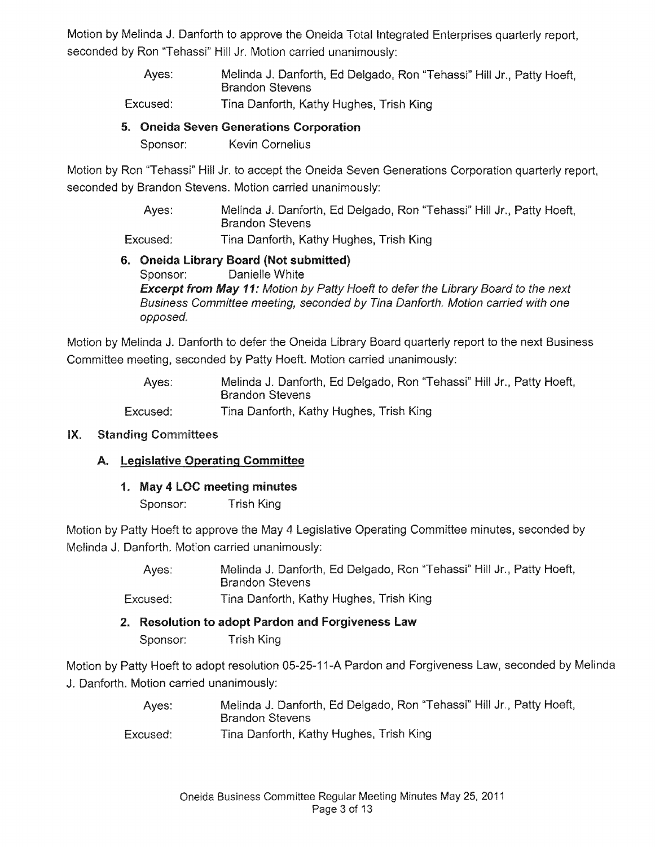Motion by Melinda J. Danforth to approve the Oneida Total Integrated Enterprises quarterly report, seconded by Ron "Tehassi" Hill Jr. Motion carried unanimously:

- Ayes: Melinda J. Danforth, Ed Delgado, Ron "Tehassj" Hill Jr., Patty **Brandon Stevens** Excused: Tina Danforth, Kathy Hughes, Trish King
- 5. Oneida Seven Generations Corporation
	- Sponsor: Kevin Cornelius

Motion by Ron "Tehassi" Hill Jr. to accept the Oneida Seven Generations Corporation quarterly report, seconded by Brandon Stevens. Motion carried unanimously:

> Melinda J. Danforth, Ed Delgado, Ron "Tehassi" Hill Jr., Patty Hoeft, Ayes: Brandon Stevens

Excused: Tina Danforth, Kathy Hughes, Trish

### 6. Oneida Library Board (Not submitted) Sponsor: Danielle White **Excerpt from May 11:** Motion by Patty Hoeft to defer the Library Board to the next Business Committee meeting, seconded by Tina Danforth. Motion carried with one opposed.

Motion by Melinda J. Danforth to defer the Oneida Library Board quarterly report to the next Business Committee meeting, seconded by Patty Hoeft. Motion carried unanimously:

| Aves:    | Melinda J. Danforth, Ed Delgado, Ron "Tehassi" Hill Jr., Patty Hoeft, |
|----------|-----------------------------------------------------------------------|
|          | Brandon Stevens                                                       |
| Excused: | Tina Danforth, Kathy Hughes, Trish King                               |

#### IX. **Standing Committees**

### A. Legislative Operating Committee

1. May 4 LOC meeting minutes

Sponsor: Trish King

Motion by Patty Hoeft to approve the May 4 Legislative Operating Committee minutes, seconded by Melinda J. Danforth. Motion carried unanimously:

> Ayes: Melinda J. Danforth, Ed Delgado, Ron "Tehassi" Hill Jr., Patty Hoeft, Brandon Stevens

Excused: Tina Danforth, Kathy Hughes, Trish King

### 2. Resolution to adopt Pardon and Forgiveness Law

Sponsor: Trish King

Motion by Patty Hoeft to adopt resolution 05-25-11-A Pardon and Forgiveness Law, seconded by Melinda J. Danforth. Motion carried unanimously:

> Ayes: Melinda J. Danforth, Ed Delgado, Ron "Tehassi" Hill Jr., Patty Hoeft, **Brandon Stevens**

Excused: Tina Danforth, Kathy Hughes, Trish King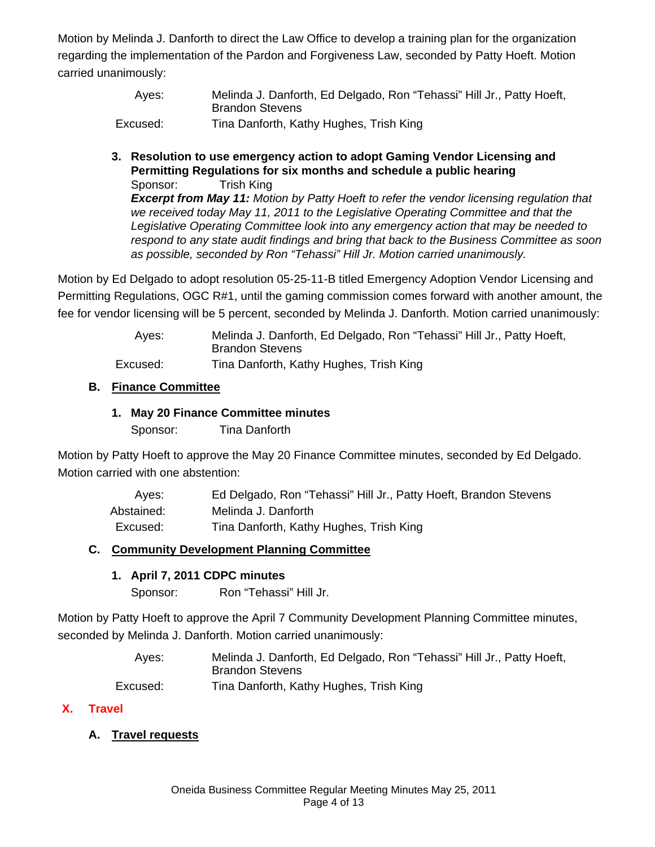Motion by Melinda J. Danforth to direct the Law Office to develop a training plan for the organization regarding the implementation of the Pardon and Forgiveness Law, seconded by Patty Hoeft. Motion carried unanimously:

- Ayes: Melinda J. Danforth, Ed Delgado, Ron "Tehassi" Hill Jr., Patty Hoeft, Brandon Stevens Excused: Tina Danforth, Kathy Hughes, Trish King
- **3. Resolution to use emergency action to adopt Gaming Vendor Licensing and Permitting Regulations for six months and schedule a public hearing** 
	- Sponsor: Trish King

*Excerpt from May 11: Motion by Patty Hoeft to refer the vendor licensing regulation that we received today May 11, 2011 to the Legislative Operating Committee and that the Legislative Operating Committee look into any emergency action that may be needed to respond to any state audit findings and bring that back to the Business Committee as soon as possible, seconded by Ron "Tehassi" Hill Jr. Motion carried unanimously.*

Motion by Ed Delgado to adopt resolution 05-25-11-B titled Emergency Adoption Vendor Licensing and Permitting Regulations, OGC R#1, until the gaming commission comes forward with another amount, the fee for vendor licensing will be 5 percent, seconded by Melinda J. Danforth. Motion carried unanimously:

| Aves:    | Melinda J. Danforth, Ed Delgado, Ron "Tehassi" Hill Jr., Patty Hoeft,<br><b>Brandon Stevens</b> |
|----------|-------------------------------------------------------------------------------------------------|
| Excused: | Tina Danforth, Kathy Hughes, Trish King                                                         |

### **B. Finance Committee**

### **1. May 20 Finance Committee minutes**

Sponsor: Tina Danforth

Motion by Patty Hoeft to approve the May 20 Finance Committee minutes, seconded by Ed Delgado. Motion carried with one abstention:

| Aves:      | Ed Delgado, Ron "Tehassi" Hill Jr., Patty Hoeft, Brandon Stevens |
|------------|------------------------------------------------------------------|
| Abstained: | Melinda J. Danforth                                              |
| Excused:   | Tina Danforth, Kathy Hughes, Trish King                          |

### **C. Community Development Planning Committee**

### **1. April 7, 2011 CDPC minutes**

Sponsor: Ron "Tehassi" Hill Jr.

Motion by Patty Hoeft to approve the April 7 Community Development Planning Committee minutes, seconded by Melinda J. Danforth. Motion carried unanimously:

> Ayes: Melinda J. Danforth, Ed Delgado, Ron "Tehassi" Hill Jr., Patty Hoeft, Brandon Stevens Excused: Tina Danforth, Kathy Hughes, Trish King

### **X. Travel**

### **A. Travel requests**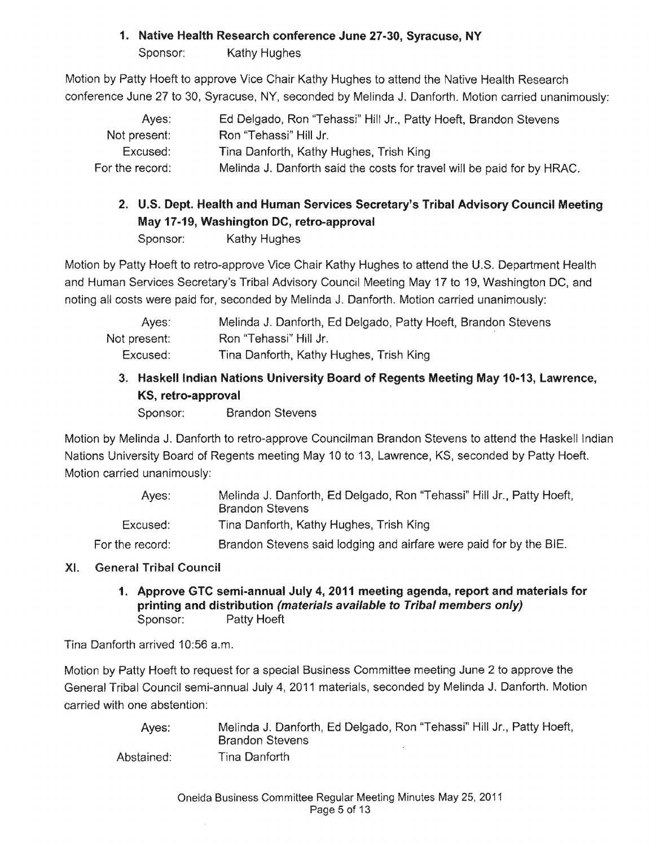### 1. Native Health Research conference June 27·30, Syracuse, NY

Sponsor: Kathy Hughes

Motion by Patty Hoeft to approve Vice Chair Kathy Hughes to attend the Native Health Research conference June 27 to 30, Syracuse, NY, seconded by Melinda J. Danforth. Motion carried unanimously:

| Ayes:           | Ed Delgado, Ron "Tehassi" Hill Jr., Patty Hoeft, Brandon Stevens        |
|-----------------|-------------------------------------------------------------------------|
| Not present:    | Ron "Tehassi" Hill Jr.                                                  |
| Excused:        | Tina Danforth, Kathy Hughes, Trish King                                 |
| For the record: | Melinda J. Danforth said the costs for travel will be paid for by HRAC. |

### 2. U.S. Dept. Health and Human Services Secretary's Tribal Advisory Council Meeting May 17-19, Washington DC, retro-approval Sponsor: Kathy Hughes

Motion by Patty Hoeft to retro-approve Vice Chair Kathy Hughes to attend the U.S. Department Health and Human Services Secretary's Tribal Advisory Council Meeting May 17 to 19, Washington DC, and noting all costs were paid for, seconded by Melinda J. Danforth. Motion carried unanimously:

| Aves:        | Melinda J. Danforth, Ed Delgado, Patty Hoeft, Brandon Stevens |
|--------------|---------------------------------------------------------------|
| Not present: | Ron "Tehassi" Hill Jr.                                        |
| Excused:     | Tina Danforth, Kathy Hughes, Trish King                       |

## 3. Haskell Indian Nations University Board of Regents Meeting May 10-13, Lawrence, KS, retro-approval

Sponsor: Brandon Stevens

Motion by Melinda J. Danforth to retro-approve Councilman Brandon Stevens to attend the Haskell Indian Nations University Board of Regents meeting May 10 to 13, Lawrence, KS, seconded by Patty Hoeft. Motion carried unanimously:

| Aves:           | Melinda J. Danforth, Ed Delgado, Ron "Tehassi" Hill Jr., Patty Hoeft,<br><b>Brandon Stevens</b> |
|-----------------|-------------------------------------------------------------------------------------------------|
| Excused:        | Tina Danforth, Kathy Hughes, Trish King                                                         |
| For the record: | Brandon Stevens said lodging and airfare were paid for by the BIE.                              |

### XI. General Tribal Council

1. Approve GTC semi-annual July 4,2011 meeting agenda, report and materials for printing and distribution (materials available to Tribal members only) Sponsor: Patty Hoeft

Tina Danforth arrived 10:56 a.m.

Motion by Patty Hoeft to request for a special Business Committee meeting June 2 to approve the General Tribal Council semi-annual July 4, 2011 materials, seconded by Melinda J. Danforth. Motion carried with one abstention:

| Aves:      | Melinda J. Danforth, Ed Delgado, Ron "Tehassi" Hill Jr., Patty Hoeft,<br><b>Brandon Stevens</b> |
|------------|-------------------------------------------------------------------------------------------------|
| Abstained: | Tina Danforth                                                                                   |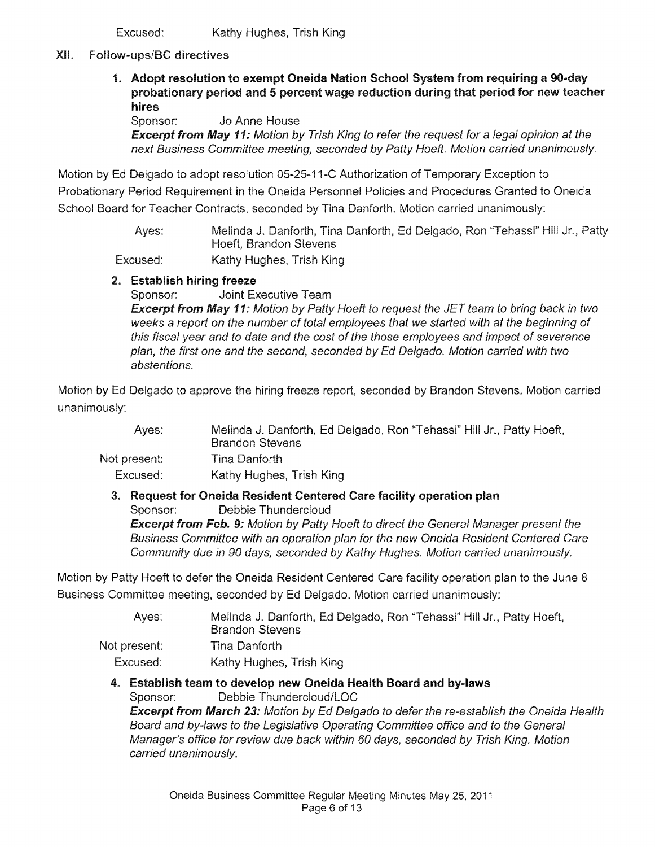Fxcused: Kathy Hughes, Trish King

### XII. Follow-ups/BC

1. Adopt resolution to exempt Oneida Nation School System from requiring a 90-day probationary period and 5 percent wage reduction during that period for new teacher hires

Sponsor: Jo Anne House Excerpt from May 11: Motion by Trish King to refer the request for a legal opinion at the next Business Committee meeting, seconded by Hoeft. Motion carried unanimously.

Motion by Ed Delgado to adopt resolution 05-25-11-C Authorization of Temporary Exception to Probationary Period Requirement in the Oneida Personnel Policies and Procedures Granted to Oneida School Board for Teacher Contracts, seconded by Tina Danforth. Motion carried unanimously:

> Ayes: Melinda J. Danforth, Tina Danforth, Delgado, Ron "Tehassi" Hill Jr., Patty Hoeft, Brandon Stevens

Excused: Kathy Hughes, Trish King

### 2. Establish hiring freeze

Sponsor: Joint Executive Team **Excerpt from May 11:** Motion by Patty Hoeft to request the JET team to bring back in two weeks a report on the number of total employees that we started with at the beginning of this fiscal year and to date and the cost of the those employees and impact of severance plan, the first one and the second, seconded by Ed Delgado. Motion carried with two abstentions.

Motion by Ed Delgado to approve the hiring freeze report, seconded by Brandon Stevens. Motion unanimously:

| Aves:        | Melinda J. Danforth, Ed Delgado, Ron "Tehassi" Hill Jr., Patty Hoeft,<br><b>Brandon Stevens</b> |
|--------------|-------------------------------------------------------------------------------------------------|
| Not present: | Tina Danforth.                                                                                  |
| Excused:     | Kathy Hughes, Trish King                                                                        |

#### 3. Request for Oneida Resident Centered Care facility operation plan Sponsor: Debbie Thundercloud

**Excerpt from Feb. 9:** Motion by Patty Hoeft to direct the General Manager present the Business Committee with an operation plan for the new Oneida Resident Centered Care Community due in 90 days, seconded by Kathy Hughes. Motion carried unanimously.

Motion by Patty Hoeft to defer the Oneida Resident Centered Care facility operation plan to the June 8 Business Committee meeting, seconded by Ed Delgado. Motion carried unanimously:

| Aves:        | Melinda J. Danforth, Ed Delgado, Ron "Tehassi" Hill Jr., Patty Hoeft,<br><b>Brandon Stevens</b> |
|--------------|-------------------------------------------------------------------------------------------------|
| Not present: | Tina Danforth                                                                                   |
| Excused:     | Kathy Hughes, Trish King                                                                        |
|              |                                                                                                 |

#### 4. Establish team to develop new Oneida Health Board and by-laws Sponsor: Debbie Thundercloud/LOC **Excerpt from March 23:** Motion by Ed Delgado to defer the re-establish the Oneida Health Board and by-laws to the Legislative Operating Committee office and to the General

Manager's office for review due back within 60 days, seconded by Trish King. Motion carried unanimously.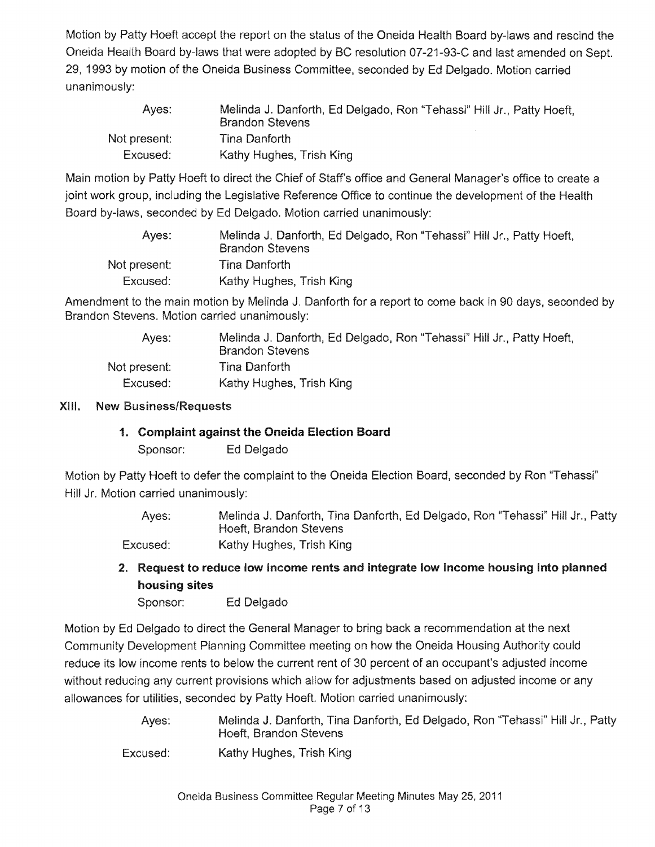Motion by Patty Hoeft accept the report on the status of the Oneida Health Board by-laws and rescind the Oneida Health Board by-laws that were adopted by BC resolution 07-21-93-C and last amended on Sept. 29. 1993 by motion of the Oneida Business Committee, seconded by Ed Delgado. Motion carried unanimously:

| Aves:        | Melinda J. Danforth, Ed Delgado, Ron "Tehassi" Hill Jr., Patty Hoeft,<br><b>Brandon Stevens</b> |
|--------------|-------------------------------------------------------------------------------------------------|
| Not present: | Tina Danforth                                                                                   |
| Excused:     | Kathy Hughes, Trish King                                                                        |

Main motion by Patty Hoeft to direct the Chief of Staff's office and General Manager's office to create a joint work group, including the Legislative Reference Office to continue the development of the Health Board by-laws, seconded by Ed Delgado. Motion carried unanimously:

| Aves:        | Melinda J. Danforth, Ed Delgado, Ron "Tehassi" Hill Jr., Patty Hoeft,<br><b>Brandon Stevens</b> |
|--------------|-------------------------------------------------------------------------------------------------|
| Not present: | Tina Danforth                                                                                   |
| Excused:     | Kathy Hughes, Trish King                                                                        |

Amendment to the main motion by Melinda J. Danforth for a report to come back in 90 days, seconded by Brandon Stevens. Motion carried unanimously:

| Aves:        | Melinda J. Danforth, Ed Delgado, Ron "Tehassi" Hill Jr., Patty Hoeft,<br><b>Brandon Stevens</b> |
|--------------|-------------------------------------------------------------------------------------------------|
| Not present: | Tina Danforth                                                                                   |
| Excused:     | Kathy Hughes, Trish King                                                                        |

#### **XIII.** New Business/Requests

### 1. Complaint against the Oneida Election Board

Ed Delgado Sponsor:

Motion by Patty Hoeft to defer the complaint to the Oneida Election Board, seconded by Ron "Tehassi" Hill Jr. Motion carried unanimously:

> Ayes: Melinda J. Danforth, Tina Danforth, Ed Delgado, Ron "Tehassi" Hill Jr., Patty Hoeft. Brandon Stevens

Excused: Kathy Hughes, Trish King

Request to reduce low income rents and integrate low income housing into planned housing

Sponsor: Ed Delgado

Motion by Ed Delgado to direct the General Manager to bring back a recommendation at the next Community Development Planning Committee meeting on how the Oneida Housing Authority could reduce its low income rents to below the current rent of 30 percent of an occupant's adjusted income without reducing any current provisions which allow for adjustments based on adjusted income or any allowances for utilities, seconded by Patty Hoeft. Motion carried unanimously:

> Melinda J. Danforth, Tina Danforth, Ed Delgado, Ron "Tehassi" Hill Jr., Aves: Hoeft. Brandon Stevens

Excused: Kathy Hughes, Trish King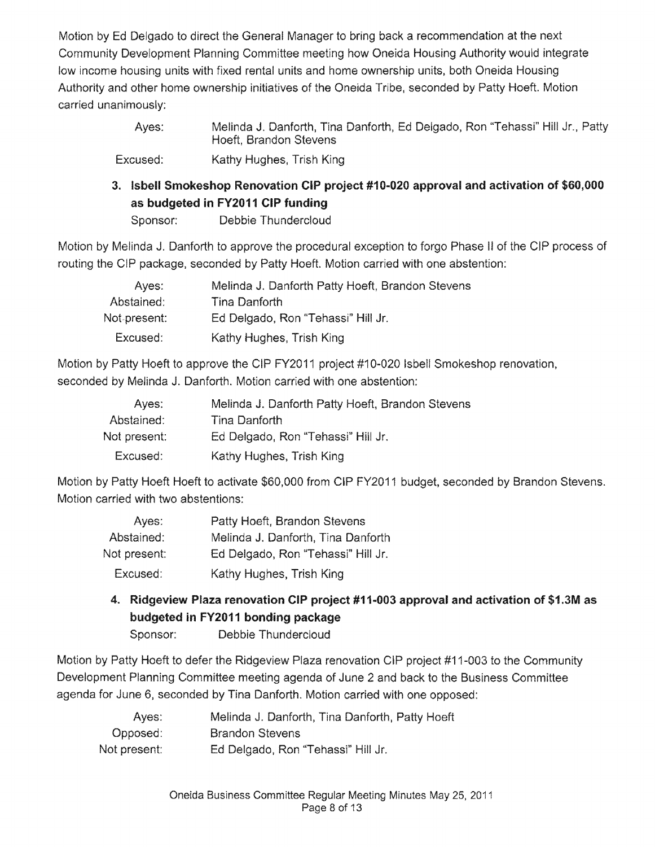Motion by Delgado to direct the General Manager to bring back a recommendation at the next Community Development Planning Committee meeting how Oneida Housing Authority would integrate low income housing units with fixed rental units and home ownership units, both Oneida Housing Authority and other home ownership initiatives of the Oneida Tribe, seconded by Patty Hoeft. Motion carried unanimously:

> Ayes: Melinda J. Danforth, Tina Danforth, Ed Delgado, Ron "Tehassi" Hill Jr., Patty Hoeft, Brandon Stevens

Excused: Kathy Hughes, Trish King

## 3. Isbell Smokeshop Renovation CIP project #10-020 approval and activation of \$60,000 as budgeted in FY2011 CIP funding

Sponsor: Debbie Thundercloud

Motion by Melinda J. Danforth to approve the procedural exception to forgo Phase II of the CIP process of routing the CIP package, seconded by Patty Hoeft. Motion carried with one abstention:

| Ayes:        | Melinda J. Danforth Patty Hoeft, Brandon Stevens |
|--------------|--------------------------------------------------|
| Abstained:   | Tina Danforth                                    |
| Not present: | Ed Delgado, Ron "Tehassi" Hill Jr.               |
| Excused:     | Kathy Hughes, Trish King                         |

Motion by Patty Hoeft to approve the CIP FY2011 project #10-020 Isbell Smokeshop renovation, seconded by Melinda J. Danforth. Motion carried with one abstention:

| Aves:        | Melinda J. Danforth Patty Hoeft, Brandon Stevens |
|--------------|--------------------------------------------------|
| Abstained:   | Tina Danforth                                    |
| Not present: | Ed Delgado, Ron "Tehassi" Hill Jr.               |
| Excused:     | Kathy Hughes, Trish King                         |

Motion by Patty Hoeft Hoeft to activate \$60,000 from CIP FY2011 budget, seconded by Brandon Motion carried with two abstentions:

| Ayes:        | Patty Hoeft, Brandon Stevens       |
|--------------|------------------------------------|
| Abstained:   | Melinda J. Danforth, Tina Danforth |
| Not present: | Ed Delgado, Ron "Tehassi" Hill Jr. |
| Excused:     | Kathy Hughes, Trish King           |

## Ridgeview Plaza renovation CIP project #11-003 approval and activation of \$1.3M as budgeted in FY2011 bonding package

Sponsor: Debbie Thundercloud

Motion by Patty Hoeft to defer the Ridgeview Plaza renovation CIP project #11-003 to the Community Development Planning Committee meeting agenda of June 2 and back to the Business Committee agenda for June 6, seconded by Tina Danforth. Motion carried with one opposed:

| Ayes:        | Melinda J. Danforth, Tina Danforth, Patty Hoeft |
|--------------|-------------------------------------------------|
| Opposed:     | <b>Brandon Stevens</b>                          |
| Not present: | Ed Delgado, Ron "Tehassi" Hill Jr.              |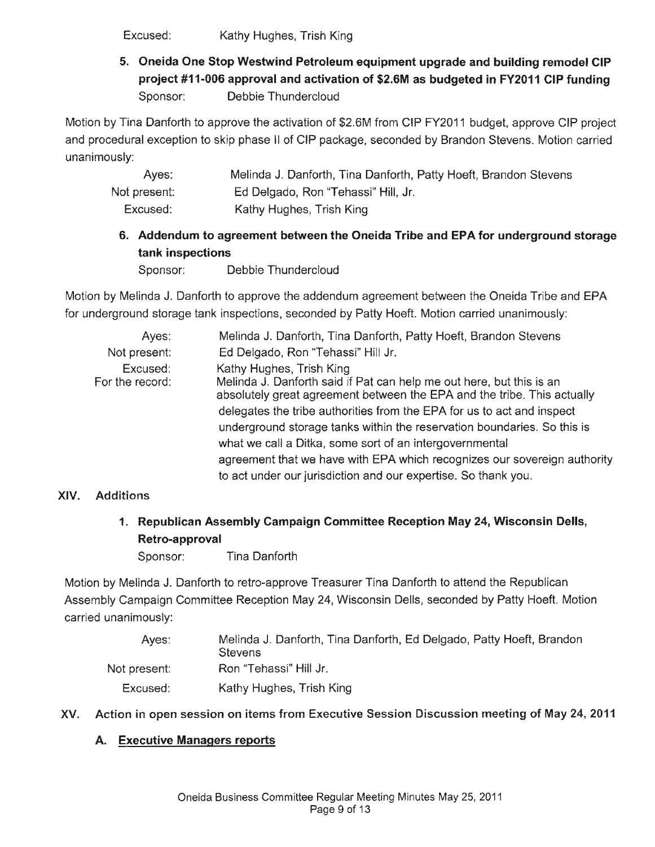Excused: Kathy Hughes. Trish King

5. Oneida One Stop Westwind Petroleum equipment upgrade and building remodel project #11-006 approval and activation of \$2.6M as budgeted in FY2011 CIP funding Sponsor: Debbie Thundercloud

Motion by Tina Danforth to approve the activation of \$2.6M from CIP FY2011 budget, approve CIP project and procedural exception to skip phase II of CIP package, seconded by Brandon Stevens. Motion carried unanimously:

| Aves:        | Melinda J. Danforth, Tina Danforth, Patty Hoeft, Brandon Stevens |
|--------------|------------------------------------------------------------------|
| Not present: | Ed Delgado, Ron "Tehassi" Hill, Jr.                              |
| Excused:     | Kathy Hughes, Trish King                                         |

### 6. Addendum to agreement between the Oneida Tribe and EPA for underground storage tank inspections

Sponsor: Debbie Thundercloud

Motion by Melinda J. Danforth to approve the addendum agreement between the Oneida Tribe and EPA for underground storage tank inspections, seconded by Patty Hoeft. Motion carried unanimously:

| Ayes:                       | Melinda J. Danforth, Tina Danforth, Patty Hoeft, Brandon Stevens                                                                                                                                                                                                                                                                                                                                                                                                                                                                          |
|-----------------------------|-------------------------------------------------------------------------------------------------------------------------------------------------------------------------------------------------------------------------------------------------------------------------------------------------------------------------------------------------------------------------------------------------------------------------------------------------------------------------------------------------------------------------------------------|
| Not present:                | Ed Delgado, Ron "Tehassi" Hill Jr.                                                                                                                                                                                                                                                                                                                                                                                                                                                                                                        |
| Excused:<br>For the record: | Kathy Hughes, Trish King<br>Melinda J. Danforth said if Pat can help me out here, but this is an<br>absolutely great agreement between the EPA and the tribe. This actually<br>delegates the tribe authorities from the EPA for us to act and inspect<br>underground storage tanks within the reservation boundaries. So this is<br>what we call a Ditka, some sort of an intergovernmental<br>agreement that we have with EPA which recognizes our sovereign authority<br>to act under our jurisdiction and our expertise. So thank you. |

### XIV. Additions

### 1. Republican Assembly Campaign Committee Reception May 24, Wisconsin Dells, Retro-approval

Sponsor: Tina Danforth

Motion by Melinda J. Danforth to retro-approve Treasurer Tina Danforth to attend the Republican Assembly Campaign Committee Reception May 24, Wisconsin Dells, seconded by Patty Hoeft. Motion carried unanimously:

| Aves:        | Melinda J. Danforth, Tina Danforth, Ed Delgado, Patty Hoeft, Brandon<br><b>Stevens</b> |
|--------------|----------------------------------------------------------------------------------------|
| Not present: | Ron "Tehassi" Hill Jr.                                                                 |
| Excused:     | Kathy Hughes, Trish King                                                               |

### XV. Action in open session on items from Executive Session Discussion meeting of May 24, 2011

### A. Executive Managers reports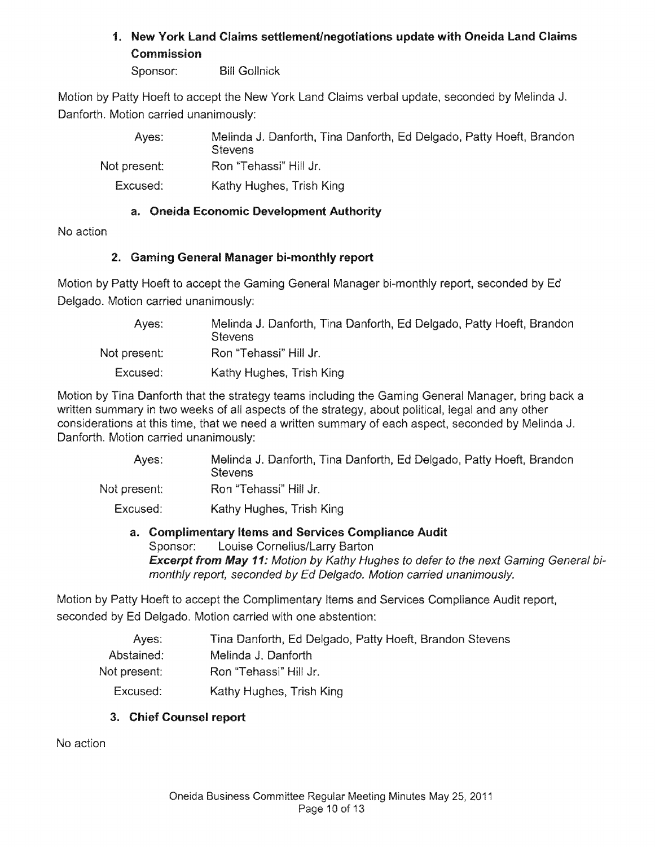### 1. New York Land Claims settlement/negotiations update with Oneida Land Claims Commission

Sponsor: Bill Gollnick

Motion by Patty Hoeft to accept the New York Land Claims verbal update, seconded by Melinda J. Danforth. Motion carried unanimously:

| Aves:        | Melinda J. Danforth, Tina Danforth, Ed Delgado, Patty Hoeft, Brandon<br><b>Stevens</b> |
|--------------|----------------------------------------------------------------------------------------|
| Not present: | Ron "Tehassi" Hill Jr.                                                                 |
| Excused:     | Kathy Hughes, Trish King                                                               |

### a. Oneida Economic Development Authority

No action

### 2. Gaming General Manager bi-monthly report

Motion by Patty Hoeft to accept the Gaming General Manager bi-monthly report, seconded by Ed Delgado. Motion carried unanimously:

| Aves:        | Melinda J. Danforth, Tina Danforth, Ed Delgado, Patty Hoeft, Brandon<br><b>Stevens</b> |
|--------------|----------------------------------------------------------------------------------------|
| Not present: | Ron "Tehassi" Hill Jr.                                                                 |
| Excused:     | Kathy Hughes, Trish King                                                               |

Motion by Tina Danforth that the strategy teams including the Gaming Manager, bring back a written summary in two weeks of all aspects of the strategy, about political, legal and any at this time, that we need a written summary of each aspect, seconded by Melinda J. Danforth. Motion carried unanimously:

| Aves:        | Melinda J. Danforth, Tina Danforth, Ed Delgado, Patty Hoeft, Brandon<br><b>Stevens</b> |
|--------------|----------------------------------------------------------------------------------------|
| Not present: | Ron "Tehassi" Hill Jr.                                                                 |
| Excused:     | Kathy Hughes, Trish King                                                               |

a. Complimentary Items and Services Compliance Audit Sponsor: Louise Cornelius/Larry Barton Excerpt from May 11: Motion by Kathy Hughes to defer to the next Gaming General bimonthly report, seconded by Ed Delgado. Motion carried unanimously.

Motion by Patty Hoeft to accept the Complimentary Items and Services Compliance Audit report, seconded by Ed Delgado. Motion carried with one abstention:

| Ayes:        | Tina Danforth, Ed Delgado, Patty Hoeft, Brandon Stevens |
|--------------|---------------------------------------------------------|
| Abstained:   | Melinda J. Danforth                                     |
| Not present: | Ron "Tehassi" Hill Jr.                                  |
| Excused:     | Kathy Hughes, Trish King                                |

### Chief Counsel report

No action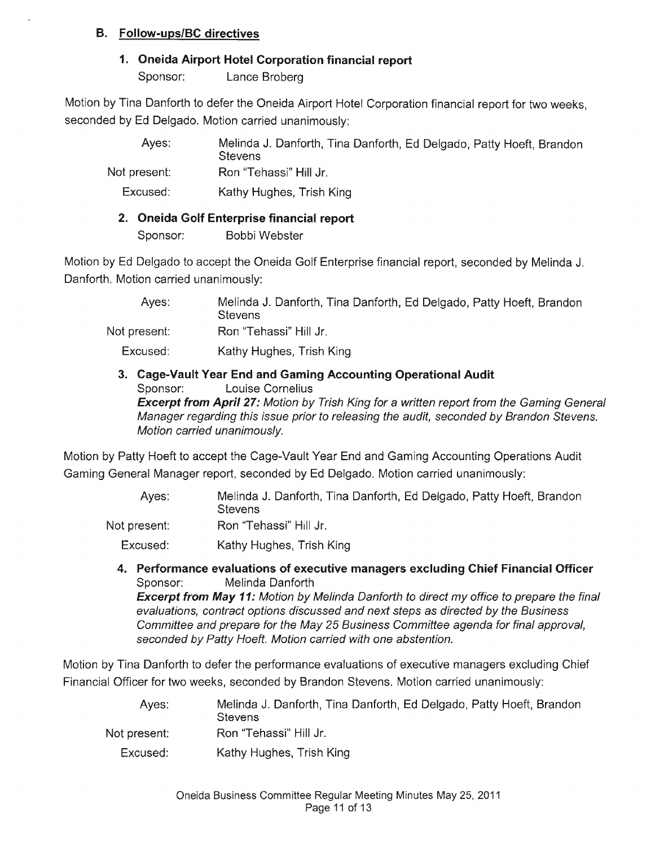### B. Follow-ups/BC directives

### 1. Oneida Airport Hotel Corporation financial report

Sponsor: Lance Broberg

Motion by Tina Danforth to defer the Oneida Airport Hotel Corporation financial report for two weeks, seconded by Ed Delgado. Motion carried unanimously:

> Ayes: Melinda J. Danforth, Tina Danforth, Ed Delgado, Patty Hoeft, Brandon **Stevens**

Not present: Ron "Tehassi" Hill Jr.

Excused: Kathy Hughes, Trish King

### 2. Oneida Golf Enterprise financial report

Sponsor: Bobbi Webster

Motion by Ed Delgado to accept the Oneida Golf Enterprise financial report, seconded by Melinda J. Danforth. Motion carried unanimously:

| Aves:        | Melinda J. Danforth, Tina Danforth, Ed Delgado, Patty Hoeft, Brandon<br><b>Stevens</b> |
|--------------|----------------------------------------------------------------------------------------|
| Not present: | Ron "Tehassi" Hill Jr.                                                                 |
| Excused:     | Kathy Hughes, Trish King                                                               |

#### 3. Cage-Vault Year End and Gaming Accounting Operational Audit Sponsor: Louise Cornelius **Excerpt from April 27:** Motion by Trish King for a written report from the Gaming General Manager regarding this issue prior to releasing the audit, seconded by Brandon Stevens. Motion carried unanimously.

Motion by Patty Hoeft to accept the Cage-Vault Year End and Gaming Accounting Operations Audit Gaming General Manager report, seconded by Ed Delgado. Motion carried unanimously:

- Ayes: Melinda J. Danforth, Tina Danforth, Ed Delgado, Patty Hoeft, Brandon **Stevens**
- Not present: Ron "Tehassi" Hill Jr.

Excused: Kathy Hughes, Trish King

4. Performance evaluations of executive managers excluding Chief Financial Officer Sponsor: Melinda Danforth

**Excerpt from May 11:** Motion by Melinda Danforth to direct my office to prepare the final evaluations, contract options discussed and next steps as directed by the Business Committee and prepare for the May 25 Business Committee agenda for final approval, seconded by Patty Hoeft. Motion carried with one abstention.

Motion by Tina Danforth to defer the performance evaluations of executive managers excluding Chief Financial Officer for two weeks, seconded by Brandon Stevens. Motion carried unanimously:

| Aves:        | Melinda J. Danforth, Tina Danforth, Ed Delgado, Patty Hoeft, Brandon<br><b>Stevens</b> |
|--------------|----------------------------------------------------------------------------------------|
| Not present: | Ron "Tehassi" Hill Jr.                                                                 |
| Excused:     | Kathy Hughes, Trish King                                                               |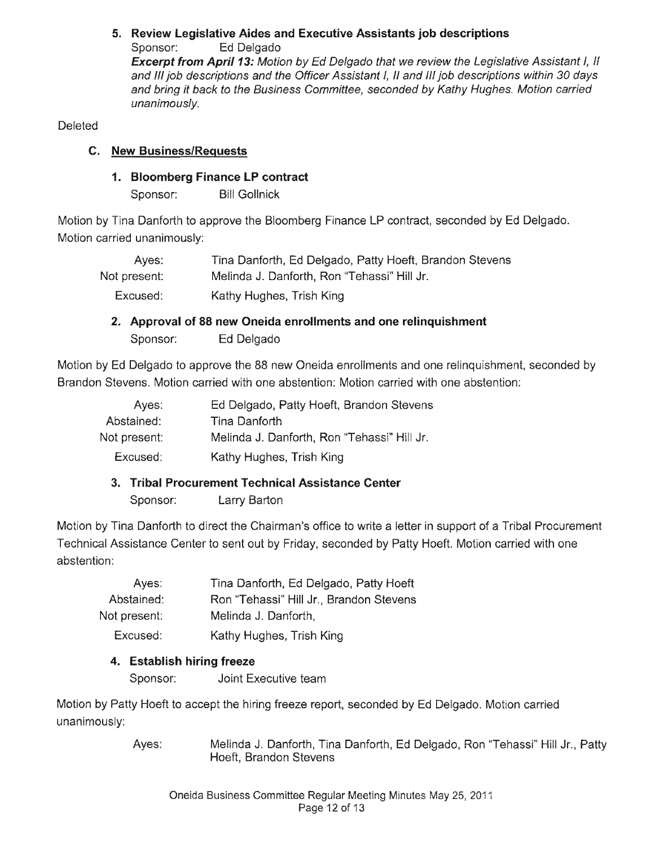## 5. Review Legislative Aides and Executive Assistants job descriptions

Sponsor: Ed Delgado **Excerpt from April 13:** Motion by Ed Delgado that we review the Legislative Assistant I, *II* and III job descriptions and the Officer Assistant I, II and III job descriptions within 30 days and bring it back to the Business Committee, seconded by Kathy Hughes. Motion carried unanimously.

**Deleted** 

### **C.** New Business/Requests

### 1. Bloomberg Finance LP contract

Sponsor: Bill Gollnick

Motion by Tina Danforth to approve the Bloomberg Finance LP contract, seconded by Ed Delgado. Motion carried unanimously:

| Aves:        | Tina Danforth, Ed Delgado, Patty Hoeft, Brandon Stevens |
|--------------|---------------------------------------------------------|
| Not present: | Melinda J. Danforth, Ron "Tehassi" Hill Jr.             |
| Excused:     | Kathy Hughes, Trish King                                |

### 2. Approval of 88 new Oneida enrollments and one relinquishment Sponsor: Ed Delgado

Motion by Ed Delgado to approve the 88 new Oneida enrollments and one relinquishment, seconded by Brandon Stevens. Motion carried with one abstention: Motion carried with one abstention:

| Aves:        | Ed Delgado, Patty Hoeft, Brandon Stevens    |
|--------------|---------------------------------------------|
| Abstained:   | Tina Danforth                               |
| Not present: | Melinda J. Danforth, Ron "Tehassi" Hill Jr. |
| Excused:     | Kathy Hughes, Trish King                    |

### 3. Tribal Procurement Technical Assistance Center

Sponsor: Larry Barton

Motion by Tina Danforth to direct the Chairman's office to write a letter in support of a Tribal Procurement Technical Assistance Center to sent out by Friday, seconded by Patty Hoeft. Motion carried with one abstention:

| Ayes:        | Tina Danforth, Ed Delgado, Patty Hoeft  |
|--------------|-----------------------------------------|
| Abstained:   | Ron "Tehassi" Hill Jr., Brandon Stevens |
| Not present: | Melinda J. Danforth.                    |
| Excused:     | Kathy Hughes, Trish King                |

### 4. Establish hiring freeze

Sponsor: Joint Executive team

Motion by Patty Hoeft to accept the hiring freeze report, seconded by Ed Delgado. Motion carried unanimously:

> Aves: Melinda J. Danforth, Tina Danforth, Ed Delgado, Ron "Tehassi" Hill Jr., Hoeft, Brandon Stevens